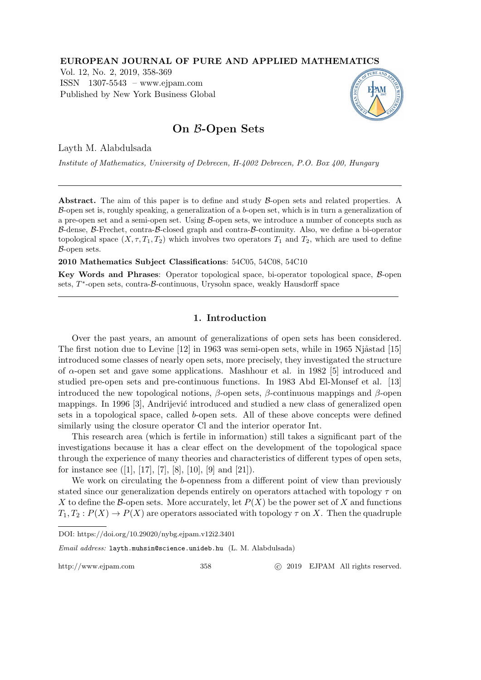### EUROPEAN JOURNAL OF PURE AND APPLIED MATHEMATICS

Vol. 12, No. 2, 2019, 358-369 ISSN 1307-5543 – www.ejpam.com Published by New York Business Global



# On B-Open Sets

Layth M. Alabdulsada

Institute of Mathematics, University of Debrecen, H-4002 Debrecen, P.O. Box 400, Hungary

Abstract. The aim of this paper is to define and study B-open sets and related properties. A  $\beta$ -open set is, roughly speaking, a generalization of a b-open set, which is in turn a generalization of a pre-open set and a semi-open set. Using B-open sets, we introduce a number of concepts such as B-dense, B-Frechet, contra-B-closed graph and contra-B-continuity. Also, we define a bi-operator topological space  $(X, \tau, T_1, T_2)$  which involves two operators  $T_1$  and  $T_2$ , which are used to define B-open sets.

2010 Mathematics Subject Classifications: 54C05, 54C08, 54C10

Key Words and Phrases: Operator topological space, bi-operator topological space, B-open sets, T<sup>\*</sup>-open sets, contra-B-continuous, Urysohn space, weakly Hausdorff space

## 1. Introduction

Over the past years, an amount of generalizations of open sets has been considered. The first notion due to Levine  $[12]$  in 1963 was semi-open sets, while in 1965 Njåstad  $[15]$ introduced some classes of nearly open sets, more precisely, they investigated the structure of  $\alpha$ -open set and gave some applications. Mashhour et al. in 1982 [5] introduced and studied pre-open sets and pre-continuous functions. In 1983 Abd El-Monsef et al. [13] introduced the new topological notions,  $\beta$ -open sets,  $\beta$ -continuous mappings and  $\beta$ -open mappings. In 1996 [3], Andrijević introduced and studied a new class of generalized open sets in a topological space, called b-open sets. All of these above concepts were defined similarly using the closure operator Cl and the interior operator Int.

This research area (which is fertile in information) still takes a significant part of the investigations because it has a clear effect on the development of the topological space through the experience of many theories and characteristics of different types of open sets, for instance see  $([1], [17], [7], [8], [10], [9]$  and  $[21]$ ).

We work on circulating the b-openness from a different point of view than previously stated since our generalization depends entirely on operators attached with topology  $\tau$  on X to define the B-open sets. More accurately, let  $P(X)$  be the power set of X and functions  $T_1, T_2: P(X) \to P(X)$  are operators associated with topology  $\tau$  on X. Then the quadruple

Email address: layth.muhsin@science.unideb.hu (L. M. Alabdulsada)

http://www.ejpam.com 358 c 2019 EJPAM All rights reserved.

DOI: https://doi.org/10.29020/nybg.ejpam.v12i2.3401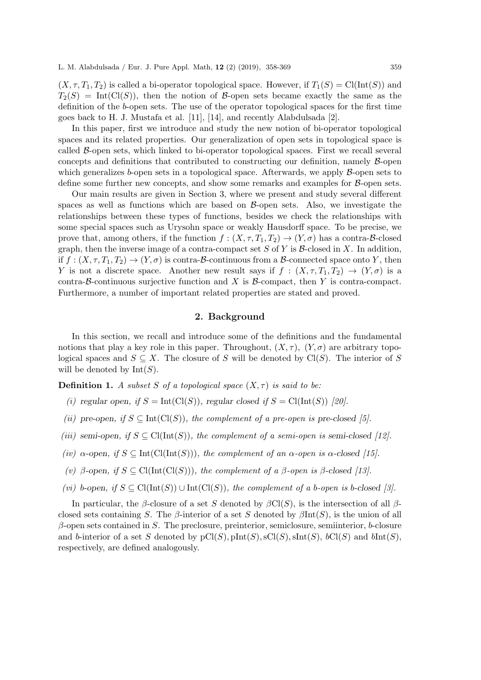$(X, \tau, T_1, T_2)$  is called a bi-operator topological space. However, if  $T_1(S) = \text{Cl}(\text{Int}(S))$  and  $T_2(S) = Int(Cl(S))$ , then the notion of B-open sets became exactly the same as the definition of the b-open sets. The use of the operator topological spaces for the first time goes back to H. J. Mustafa et al. [11], [14], and recently Alabdulsada [2].

In this paper, first we introduce and study the new notion of bi-operator topological spaces and its related properties. Our generalization of open sets in topological space is called  $\beta$ -open sets, which linked to bi-operator topological spaces. First we recall several concepts and definitions that contributed to constructing our definition, namely B-open which generalizes b-open sets in a topological space. Afterwards, we apply  $\beta$ -open sets to define some further new concepts, and show some remarks and examples for B-open sets.

Our main results are given in Section 3, where we present and study several different spaces as well as functions which are based on  $\beta$ -open sets. Also, we investigate the relationships between these types of functions, besides we check the relationships with some special spaces such as Urysohn space or weakly Hausdorff space. To be precise, we prove that, among others, if the function  $f : (X, \tau, T_1, T_2) \to (Y, \sigma)$  has a contra-B-closed graph, then the inverse image of a contra-compact set S of Y is  $\mathcal{B}$ -closed in X. In addition, if  $f: (X, \tau, T_1, T_2) \to (Y, \sigma)$  is contra-B-continuous from a B-connected space onto Y, then Y is not a discrete space. Another new result says if  $f : (X, \tau, T_1, T_2) \to (Y, \sigma)$  is a contra-B-continuous surjective function and X is B-compact, then Y is contra-compact. Furthermore, a number of important related properties are stated and proved.

#### 2. Background

In this section, we recall and introduce some of the definitions and the fundamental notions that play a key role in this paper. Throughout,  $(X, \tau)$ ,  $(Y, \sigma)$  are arbitrary topological spaces and  $S \subseteq X$ . The closure of S will be denoted by Cl(S). The interior of S will be denoted by  $Int(S)$ .

**Definition 1.** A subset S of a topological space  $(X, \tau)$  is said to be:

- (i) regular open, if  $S = \text{Int}(\text{Cl}(S))$ , regular closed if  $S = \text{Cl}(\text{Int}(S))$  [20].
- (ii) pre-open, if  $S \subseteq \text{Int}(\text{Cl}(S))$ , the complement of a pre-open is pre-closed [5].
- (iii) semi-open, if  $S \subseteq \text{Cl}(\text{Int}(S))$ , the complement of a semi-open is semi-closed [12].
- (iv)  $\alpha$ -open, if  $S \subseteq \text{Int}(\text{Cl}(\text{Int}(S)))$ , the complement of an  $\alpha$ -open is  $\alpha$ -closed [15].
- (v) β-open, if  $S \subseteq \text{Cl}(\text{Int}(\text{Cl}(S)))$ , the complement of a β-open is β-closed [13].
- (vi) b-open, if  $S \subseteq \text{Cl}(\text{Int}(S)) \cup \text{Int}(\text{Cl}(S)),$  the complement of a b-open is b-closed [3].

In particular, the β-closure of a set S denoted by  $\beta\text{Cl}(S)$ , is the intersection of all βclosed sets containing S. The β-interior of a set S denoted by  $\beta$ Int(S), is the union of all  $\beta$ -open sets contained in S. The preclosure, preinterior, semiclosure, semiinterior, b-closure and b-interior of a set S denoted by  $pCl(S), pInt(S), sCl(S), sInt(S), bCl(S)$  and  $bInt(S),$ respectively, are defined analogously.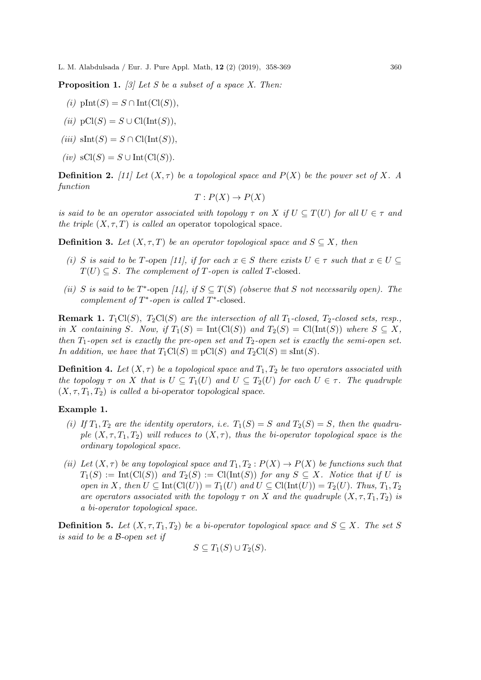**Proposition 1.** [3] Let S be a subset of a space X. Then:

- (i)  $\text{plnt}(S) = S \cap \text{Int}(\text{Cl}(S)),$
- (ii)  $pCl(S) = S \cup Cl(Int(S)),$
- (iii)  $\text{sInt}(S) = S \cap \text{Cl}(\text{Int}(S)),$
- (iv)  $sCl(S) = S \cup Int(Cl(S)).$

**Definition 2.** [11] Let  $(X, \tau)$  be a topological space and  $P(X)$  be the power set of X. A function

$$
T: P(X) \to P(X)
$$

is said to be an operator associated with topology  $\tau$  on X if  $U \subseteq T(U)$  for all  $U \in \tau$  and the triple  $(X, \tau, T)$  is called an operator topological space.

**Definition 3.** Let  $(X, \tau, T)$  be an operator topological space and  $S \subseteq X$ , then

- (i) S is said to be T-open [11], if for each  $x \in S$  there exists  $U \in \tau$  such that  $x \in U \subseteq$  $T(U) \subseteq S$ . The complement of T-open is called T-closed.
- (ii) S is said to be T\*-open [14], if  $S \subseteq T(S)$  (observe that S not necessarily open). The complement of  $T^*$ -open is called  $T^*$ -closed.

**Remark 1.**  $T_1Cl(S)$ ,  $T_2Cl(S)$  are the intersection of all  $T_1$ -closed,  $T_2$ -closed sets, resp., in X containing S. Now, if  $T_1(S) = Int(Cl(S))$  and  $T_2(S) = Cl(int(S))$  where  $S \subseteq X$ , then  $T_1$ -open set is exactly the pre-open set and  $T_2$ -open set is exactly the semi-open set. In addition, we have that  $T_1Cl(S) \equiv pCl(S)$  and  $T_2Cl(S) \equiv$  sInt(S).

**Definition 4.** Let  $(X, \tau)$  be a topological space and  $T_1, T_2$  be two operators associated with the topology  $\tau$  on X that is  $U \subseteq T_1(U)$  and  $U \subseteq T_2(U)$  for each  $U \in \tau$ . The quadruple  $(X, \tau, T_1, T_2)$  is called a bi-operator topological space.

## Example 1.

- (i) If  $T_1, T_2$  are the identity operators, i.e.  $T_1(S) = S$  and  $T_2(S) = S$ , then the quadruple  $(X, \tau, T_1, T_2)$  will reduces to  $(X, \tau)$ , thus the bi-operator topological space is the ordinary topological space.
- (ii) Let  $(X, \tau)$  be any topological space and  $T_1, T_2 : P(X) \to P(X)$  be functions such that  $T_1(S) := Int(Cl(S))$  and  $T_2(S) := Cl(Int(S))$  for any  $S \subseteq X$ . Notice that if U is open in X, then  $U \subseteq \text{Int}(\text{Cl}(U)) = T_1(U)$  and  $U \subseteq \text{Cl}(\text{Int}(U)) = T_2(U)$ . Thus,  $T_1, T_2$ are operators associated with the topology  $\tau$  on X and the quadruple  $(X, \tau, T_1, T_2)$  is a bi-operator topological space.

**Definition 5.** Let  $(X, \tau, T_1, T_2)$  be a bi-operator topological space and  $S \subseteq X$ . The set S is said to be a B-open set if

$$
S \subseteq T_1(S) \cup T_2(S).
$$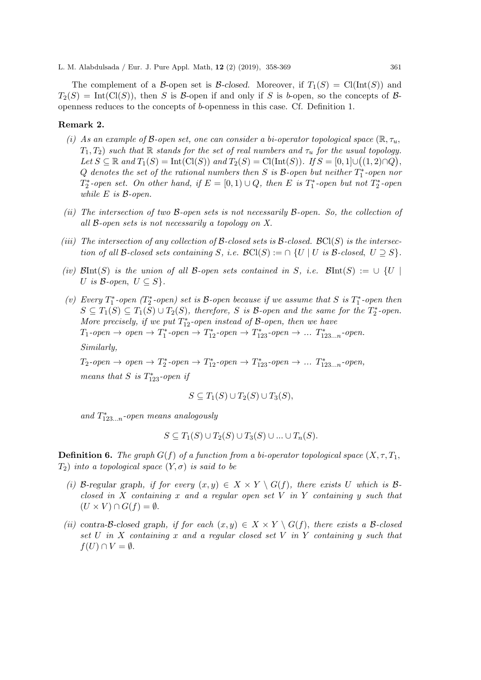The complement of a B-open set is B-closed. Moreover, if  $T_1(S) = \text{Cl}(\text{Int}(S))$  and  $T_2(S) = Int(Cl(S))$ , then S is B-open if and only if S is b-open, so the concepts of Bopenness reduces to the concepts of b-openness in this case. Cf. Definition 1.

#### Remark 2.

- (i) As an example of B-open set, one can consider a bi-operator topological space  $(\mathbb{R}, \tau_u)$ ,  $T_1, T_2$ ) such that R stands for the set of real numbers and  $\tau_u$  for the usual topology. Let  $S \subseteq \mathbb{R}$  and  $T_1(S) = \text{Int}(\text{Cl}(S))$  and  $T_2(S) = \text{Cl}(\text{Int}(S))$ . If  $S = [0, 1] \cup ((1, 2) \cap Q)$ , Q denotes the set of the rational numbers then S is  $\mathcal B$ -open but neither  $T_1^*$ -open nor  $T_2^*$ -open set. On other hand, if  $E = [0, 1) \cup Q$ , then E is  $T_1^*$ -open but not  $T_2^*$ -open while  $E$  is  $\beta$ -open.
- (ii) The intersection of two B-open sets is not necessarily B-open. So, the collection of all B-open sets is not necessarily a topology on X.
- (iii) The intersection of any collection of B-closed sets is B-closed.  $\mathcal{B}\mathcal{C}\mathcal{C}(S)$  is the intersection of all B-closed sets containing S, i.e.  $\mathcal{B}\text{Cl}(S) := \bigcap \{U \mid U \text{ is } \mathcal{B}\text{-closed}, U \supseteq S\}.$
- (iv)  $\mathcal{B}Int(S)$  is the union of all B-open sets contained in S, i.e.  $\mathcal{B}Int(S) := \cup \{U \mid$ U is B-open,  $U \subseteq S$ .
- (v) Every  $T_1^*$ -open  $(T_2^*$ -open) set is  $\mathcal{B}$ -open because if we assume that  $S$  is  $T_1^*$ -open then  $S \subseteq T_1(S) \subseteq T_1(S) \cup T_2(S)$ , therefore, S is B-open and the same for the  $T_2^*$ -open. More precisely, if we put  $T_{12}^*$ -open instead of B-open, then we have  $T_1\text{-}open \rightarrow open \rightarrow T_1^*\text{-}open \rightarrow T_{12}^*\text{-}open \rightarrow T_{123}^*\text{-}open \rightarrow \dots T_{123\dots n}^*\text{-}open.$ Similarly,

 $T_2\text{-}open \rightarrow open \rightarrow T_2^*\text{-}open \rightarrow T_{12}^*\text{-}open \rightarrow T_{123}^*\text{-}open \rightarrow \dots T_{123\dots n}^*\text{-}open,$ means that  $S$  is  $T_{123}^*$ -open if

$$
S \subseteq T_1(S) \cup T_2(S) \cup T_3(S),
$$

and  $T^*_{123...n}$ -open means analogously

 $S \subseteq T_1(S) \cup T_2(S) \cup T_3(S) \cup \ldots \cup T_n(S).$ 

**Definition 6.** The graph  $G(f)$  of a function from a bi-operator topological space  $(X, \tau, T_1, T_2)$  $T_2$ ) into a topological space  $(Y, \sigma)$  is said to be

- (i) B-regular graph, if for every  $(x, y) \in X \times Y \setminus G(f)$ , there exists U which is Bclosed in X containing x and a regular open set V in Y containing y such that  $(U \times V) \cap G(f) = \emptyset.$
- (ii) contra-B-closed graph, if for each  $(x, y) \in X \times Y \setminus G(f)$ , there exists a B-closed set U in X containing x and a regular closed set V in Y containing y such that  $f(U) \cap V = \emptyset$ .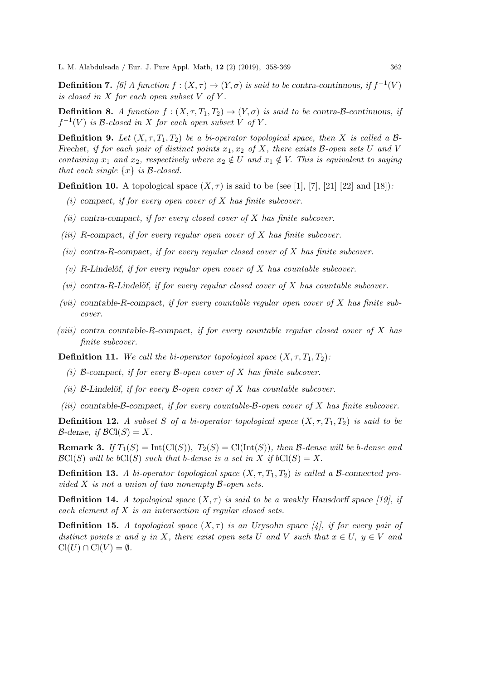**Definition 7.** [6] A function  $f : (X, \tau) \to (Y, \sigma)$  is said to be contra-continuous, if  $f^{-1}(V)$ is closed in  $X$  for each open subset  $V$  of  $Y$ .

**Definition 8.** A function  $f : (X, \tau, T_1, T_2) \to (Y, \sigma)$  is said to be contra-B-continuous, if  $f^{-1}(V)$  is B-closed in X for each open subset V of Y.

**Definition 9.** Let  $(X, \tau, T_1, T_2)$  be a bi-operator topological space, then X is called a B-Frechet, if for each pair of distinct points  $x_1, x_2$  of X, there exists B-open sets U and V containing  $x_1$  and  $x_2$ , respectively where  $x_2 \notin U$  and  $x_1 \notin V$ . This is equivalent to saying that each single  $\{x\}$  is B-closed.

**Definition 10.** A topological space  $(X, \tau)$  is said to be (see [1], [7], [21] [22] and [18]):

- (i) compact, if for every open cover of  $X$  has finite subcover.
- (ii) contra-compact, if for every closed cover of  $X$  has finite subcover.
- (iii) R-compact, if for every regular open cover of  $X$  has finite subcover.
- $(iv)$  contra-R-compact, if for every regular closed cover of X has finite subcover.
- (v) R-Lindelöf, if for every regular open cover of  $X$  has countable subcover.
- $(vi)$  contra-R-Lindelöf, if for every regular closed cover of X has countable subcover.
- (vii) countable-R-compact, if for every countable regular open cover of  $X$  has finite subcover.
- (viii) contra countable-R-compact, if for every countable regular closed cover of  $X$  has finite subcover.

**Definition 11.** We call the bi-operator topological space  $(X, \tau, T_1, T_2)$ :

- (i) B-compact, if for every B-open cover of X has finite subcover.
- (ii) B-Lindelöf, if for every B-open cover of X has countable subcover.
- (iii) countable- $\beta$ -compact, if for every countable- $\beta$ -open cover of X has finite subcover.

**Definition 12.** A subset S of a bi-operator topological space  $(X, \tau, T_1, T_2)$  is said to be  $\mathcal{B}\text{-dense}, \text{ if } \mathcal{B}\text{Cl}(S) = X.$ 

**Remark 3.** If  $T_1(S) = \text{Int}(\text{Cl}(S))$ ,  $T_2(S) = \text{Cl}(\text{Int}(S))$ , then B-dense will be b-dense and  $\mathcal{B}\text{Cl}(S)$  will be  $b\text{Cl}(S)$  such that b-dense is a set in X if  $b\text{Cl}(S) = X$ .

**Definition 13.** A bi-operator topological space  $(X, \tau, T_1, T_2)$  is called a B-connected provided X is not a union of two nonempty B-open sets.

**Definition 14.** A topological space  $(X, \tau)$  is said to be a weakly Hausdorff space [19], if each element of  $X$  is an intersection of regular closed sets.

**Definition 15.** A topological space  $(X, \tau)$  is an Urysohn space [4], if for every pair of distinct points x and y in X, there exist open sets U and V such that  $x \in U$ ,  $y \in V$  and  $Cl(U) \cap Cl(V) = \emptyset.$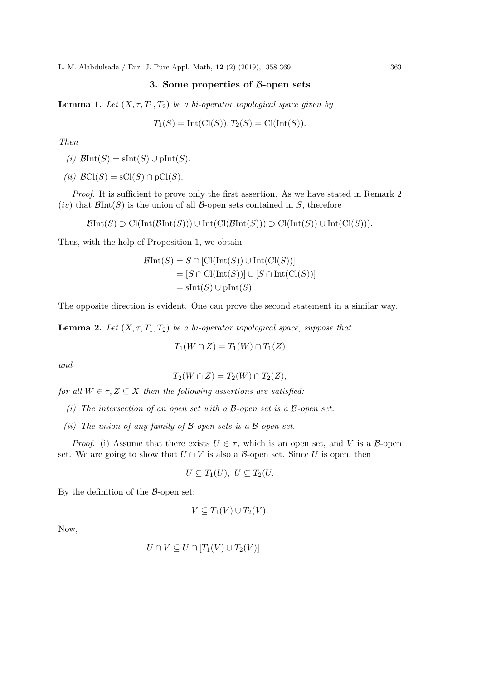## 3. Some properties of B-open sets

**Lemma 1.** Let  $(X, \tau, T_1, T_2)$  be a bi-operator topological space given by

$$
T_1(S) = Int(Cl(S)), T_2(S) = Cl(int(S)).
$$

Then

(i)  $\mathcal{B}Int(S) = \text{slnt}(S) \cup \text{plnt}(S)$ .

(ii)  $\mathcal{B}\text{Cl}(S) = \text{sCl}(S) \cap \text{pCl}(S)$ .

Proof. It is sufficient to prove only the first assertion. As we have stated in Remark 2  $(iv)$  that  $\mathcal{B}Int(S)$  is the union of all  $\mathcal{B}$ -open sets contained in S, therefore

 $\mathcal{B}Int(S) \supset \mathrm{Cl}(Int(\mathcal{B}Int(S))) \cup Int(\mathrm{Cl}(\mathcal{B}Int(S))) \supset \mathrm{Cl}(Int(S)) \cup Int(\mathrm{Cl}(S))).$ 

Thus, with the help of Proposition 1, we obtain

$$
\mathcal{B}Int(S) = S \cap [\text{Cl}(\text{Int}(S)) \cup \text{Int}(\text{Cl}(S))]
$$
  
=  $[S \cap \text{Cl}(\text{Int}(S))] \cup [S \cap \text{Int}(\text{Cl}(S))]$   
=  $\text{slnt}(S) \cup \text{plnt}(S)$ .

The opposite direction is evident. One can prove the second statement in a similar way.

**Lemma 2.** Let  $(X, \tau, T_1, T_2)$  be a bi-operator topological space, suppose that

$$
T_1(W \cap Z) = T_1(W) \cap T_1(Z)
$$

and

$$
T_2(W \cap Z) = T_2(W) \cap T_2(Z),
$$

for all  $W \in \tau, Z \subseteq X$  then the following assertions are satisfied:

(i) The intersection of an open set with a  $\beta$ -open set is a  $\beta$ -open set.

(ii) The union of any family of  $\beta$ -open sets is a  $\beta$ -open set.

*Proof.* (i) Assume that there exists  $U \in \tau$ , which is an open set, and V is a B-open set. We are going to show that  $U \cap V$  is also a  $\beta$ -open set. Since U is open, then

$$
U \subseteq T_1(U), U \subseteq T_2(U).
$$

By the definition of the  $\beta$ -open set:

$$
V \subseteq T_1(V) \cup T_2(V).
$$

Now,

$$
U \cap V \subseteq U \cap [T_1(V) \cup T_2(V)]
$$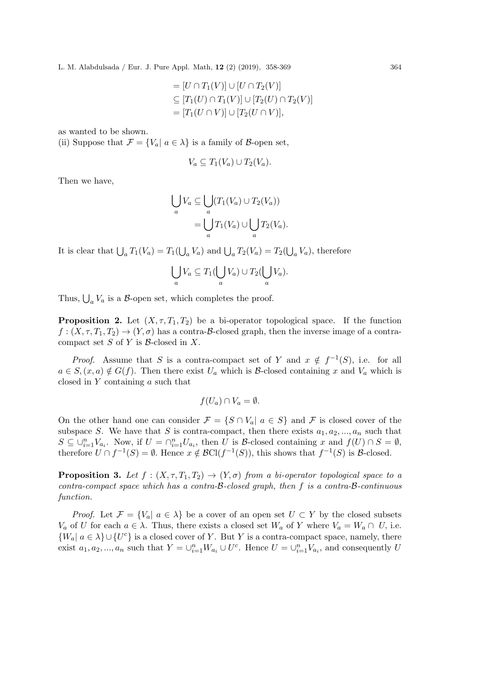$$
= [U \cap T_1(V)] \cup [U \cap T_2(V)]
$$
  
\n
$$
\subseteq [T_1(U) \cap T_1(V)] \cup [T_2(U) \cap T_2(V)]
$$
  
\n
$$
= [T_1(U \cap V)] \cup [T_2(U \cap V)],
$$

as wanted to be shown.

(ii) Suppose that  $\mathcal{F} = \{V_a | a \in \lambda\}$  is a family of B-open set,

$$
V_a \subseteq T_1(V_a) \cup T_2(V_a).
$$

Then we have,

$$
\bigcup_{a} V_a \subseteq \bigcup_{a} (T_1(V_a) \cup T_2(V_a))
$$
  
= 
$$
\bigcup_{a} T_1(V_a) \cup \bigcup_{a} T_2(V_a).
$$

It is clear that  $\bigcup_a T_1(V_a) = T_1(\bigcup_a V_a)$  and  $\bigcup_a T_2(V_a) = T_2(\bigcup_a V_a)$ , therefore

$$
\bigcup_a V_a \subseteq T_1(\bigcup_a V_a) \cup T_2(\bigcup_a V_a).
$$

Thus,  $\bigcup_{a} V_a$  is a  $\beta$ -open set, which completes the proof.

**Proposition 2.** Let  $(X, \tau, T_1, T_2)$  be a bi-operator topological space. If the function  $f: (X, \tau, T_1, T_2) \to (Y, \sigma)$  has a contra-B-closed graph, then the inverse image of a contracompact set  $S$  of  $Y$  is  $\beta$ -closed in  $X$ .

*Proof.* Assume that S is a contra-compact set of Y and  $x \notin f^{-1}(S)$ , i.e. for all  $a \in S, (x, a) \notin G(f)$ . Then there exist  $U_a$  which is B-closed containing x and  $V_a$  which is closed in Y containing a such that

$$
f(U_a) \cap V_a = \emptyset.
$$

On the other hand one can consider  $\mathcal{F} = \{S \cap V_a | a \in S\}$  and  $\mathcal{F}$  is closed cover of the subspace S. We have that S is contra-compact, then there exists  $a_1, a_2, ..., a_n$  such that  $S \subseteq \bigcup_{i=1}^n V_{a_i}$ . Now, if  $U = \bigcap_{i=1}^n U_{a_i}$ , then U is B-closed containing x and  $f(U) \cap S = \emptyset$ , therefore  $U \cap f^{-1}(S) = \emptyset$ . Hence  $x \notin \mathcal{B}Cl(f^{-1}(S))$ , this shows that  $f^{-1}(S)$  is  $\mathcal{B}\text{-closed}$ .

**Proposition 3.** Let  $f : (X, \tau, T_1, T_2) \to (Y, \sigma)$  from a bi-operator topological space to a contra-compact space which has a contra- $B$ -closed graph, then f is a contra- $B$ -continuous function.

*Proof.* Let  $\mathcal{F} = \{V_a | a \in \lambda\}$  be a cover of an open set  $U \subset Y$  by the closed subsets  $V_a$  of U for each  $a \in \lambda$ . Thus, there exists a closed set  $W_a$  of Y where  $V_a = W_a \cap U$ , i.e.  $\{W_a | a \in \lambda\} \cup \{U^c\}$  is a closed cover of Y. But Y is a contra-compact space, namely, there exist  $a_1, a_2, ..., a_n$  such that  $Y = \bigcup_{i=1}^n W_{a_i} \cup U^c$ . Hence  $U = \bigcup_{i=1}^n V_{a_i}$ , and consequently U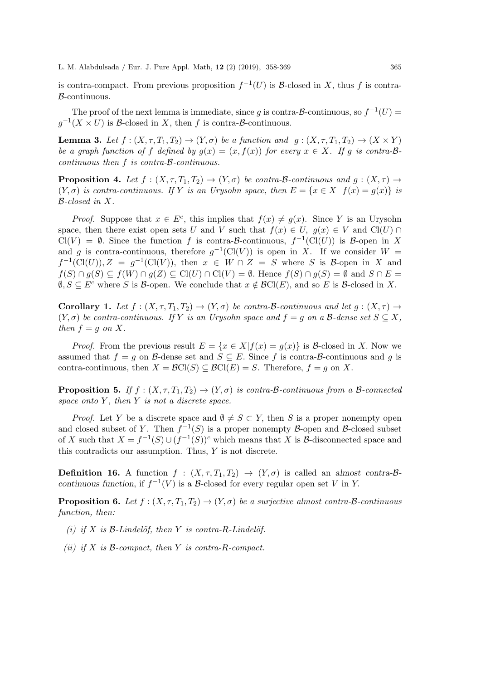is contra-compact. From previous proposition  $f^{-1}(U)$  is B-closed in X, thus f is contra-B-continuous.

The proof of the next lemma is immediate, since g is contra- $\mathcal{B}$ -continuous, so  $f^{-1}(U)$  =  $g^{-1}(X \times U)$  is B-closed in X, then f is contra-B-continuous.

**Lemma 3.** Let  $f : (X, \tau, T_1, T_2) \to (Y, \sigma)$  be a function and  $g : (X, \tau, T_1, T_2) \to (X \times Y)$ be a graph function of f defined by  $g(x) = (x, f(x))$  for every  $x \in X$ . If g is contra-Bcontinuous then f is contra-B-continuous.

**Proposition 4.** Let  $f : (X, \tau, T_1, T_2) \to (Y, \sigma)$  be contra-B-continuous and  $g : (X, \tau) \to$  $(Y, \sigma)$  is contra-continuous. If Y is an Urysohn space, then  $E = \{x \in X | f(x) = q(x)\}\$ is B-closed in X.

*Proof.* Suppose that  $x \in E^c$ , this implies that  $f(x) \neq g(x)$ . Since Y is an Urysohn space, then there exist open sets U and V such that  $f(x) \in U$ ,  $g(x) \in V$  and  $Cl(U) \cap$  $Cl(V) = \emptyset$ . Since the function f is contra-B-continuous,  $f^{-1}(Cl(U))$  is B-open in X and g is contra-continuous, therefore  $g^{-1}(\text{Cl}(V))$  is open in X. If we consider  $W =$  $f^{-1}(\text{Cl}(U)), Z = g^{-1}(\text{Cl}(V)),$  then  $x \in W \cap Z = S$  where S is B-open in X and  $f(S) \cap g(S) \subseteq f(W) \cap g(Z) \subseteq \mathrm{Cl}(U) \cap \mathrm{Cl}(V) = \emptyset$ . Hence  $f(S) \cap g(S) = \emptyset$  and  $S \cap E =$  $\emptyset, S \subseteq E^c$  where S is B-open. We conclude that  $x \notin \mathcal{B}Cl(E)$ , and so E is B-closed in X.

Corollary 1. Let  $f : (X, \tau, T_1, T_2) \to (Y, \sigma)$  be contra-B-continuous and let  $g : (X, \tau) \to$  $(Y, \sigma)$  be contra-continuous. If Y is an Urysohn space and  $f = g$  on a B-dense set  $S \subseteq X$ , then  $f = g$  on X.

*Proof.* From the previous result  $E = \{x \in X | f(x) = g(x)\}\$ is B-closed in X. Now we assumed that  $f = g$  on B-dense set and  $S \subseteq E$ . Since f is contra-B-continuous and g is contra-continuous, then  $X = \mathcal{B}Cl(S) \subseteq \mathcal{B}Cl(E) = S$ . Therefore,  $f = g$  on X.

**Proposition 5.** If  $f : (X, \tau, T_1, T_2) \to (Y, \sigma)$  is contra-B-continuous from a B-connected space onto  $Y$ , then  $Y$  is not a discrete space.

*Proof.* Let Y be a discrete space and  $\emptyset \neq S \subset Y$ , then S is a proper nonempty open and closed subset of Y. Then  $f^{-1}(S)$  is a proper nonempty B-open and B-closed subset of X such that  $X = f^{-1}(S) \cup (f^{-1}(S))^c$  which means that X is B-disconnected space and this contradicts our assumption. Thus, Y is not discrete.

**Definition 16.** A function  $f : (X, \tau, T_1, T_2) \to (Y, \sigma)$  is called an almost contra-Bcontinuous function, if  $f^{-1}(V)$  is a B-closed for every regular open set V in Y.

**Proposition 6.** Let  $f : (X, \tau, T_1, T_2) \to (Y, \sigma)$  be a surjective almost contra-B-continuous function, then:

- (i) if X is  $\mathcal{B}\text{-}Lindel\ddot{\circ}f$ , then Y is contra-R-Lindelöf.
- (ii) if  $X$  is  $\beta$ -compact, then  $Y$  is contra-R-compact.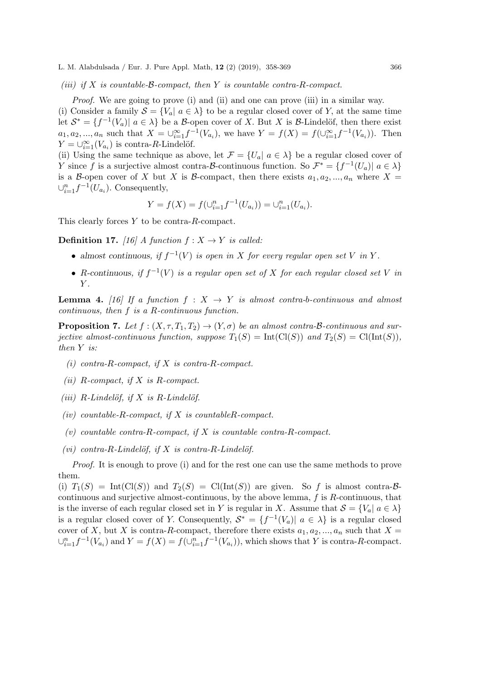(iii) if X is countable- $\beta$ -compact, then Y is countable contra-R-compact.

Proof. We are going to prove (i) and (ii) and one can prove (iii) in a similar way.

(i) Consider a family  $S = \{V_a | a \in \lambda\}$  to be a regular closed cover of Y, at the same time let  $S^* = \{f^{-1}(V_a) | a \in \lambda\}$  be a B-open cover of X. But X is B-Lindelöf, then there exist  $a_1, a_2, ..., a_n$  such that  $X = \bigcup_{i=1}^{\infty} f^{-1}(V_{a_i})$ , we have  $Y = f(X) = f(\bigcup_{i=1}^{\infty} f^{-1}(V_{a_i}))$ . Then  $Y = \bigcup_{i=1}^{\infty} (V_{a_i})$  is contra-R-Lindelöf.

(ii) Using the same technique as above, let  $\mathcal{F} = \{U_a | a \in \lambda\}$  be a regular closed cover of Y since f is a surjective almost contra-B-continuous function. So  $\mathcal{F}^* = \{f^{-1}(U_a) | a \in \lambda\}$ is a B-open cover of X but X is B-compact, then there exists  $a_1, a_2, ..., a_n$  where X =  $\cup_{i=1}^n f^{-1}(U_{a_i})$ . Consequently,

$$
Y = f(X) = f(\cup_{i=1}^{n} f^{-1}(U_{a_i})) = \cup_{i=1}^{n} (U_{a_i}).
$$

This clearly forces Y to be contra-R-compact.

**Definition 17.** [16] A function  $f: X \to Y$  is called:

- almost continuous, if  $f^{-1}(V)$  is open in X for every regular open set V in Y.
- R-continuous, if  $f^{-1}(V)$  is a regular open set of X for each regular closed set V in  $Y$ .

**Lemma 4.** [16] If a function  $f: X \rightarrow Y$  is almost contra-b-continuous and almost continuous, then f is a R-continuous function.

**Proposition 7.** Let  $f : (X, \tau, T_1, T_2) \to (Y, \sigma)$  be an almost contra-B-continuous and surjective almost-continuous function, suppose  $T_1(S) = \text{Int}(\text{Cl}(S))$  and  $T_2(S) = \text{Cl}(\text{Int}(S)),$ then Y is:

- (i) contra-R-compact, if X is contra-R-compact.
- (ii)  $R$ -compact, if  $X$  is  $R$ -compact.
- (iii) R-Lindelöf, if X is R-Lindelöf.
- (iv) countable-R-compact, if  $X$  is countableR-compact.
- (v) countable contra-R-compact, if X is countable contra-R-compact.
- (vi) contra-R-Lindelöf, if X is contra-R-Lindelöf.

Proof. It is enough to prove (i) and for the rest one can use the same methods to prove them.

(i)  $T_1(S) = Int(Cl(S))$  and  $T_2(S) = Cl(int(S))$  are given. So f is almost contra-Bcontinuous and surjective almost-continuous, by the above lemma,  $f$  is  $R$ -continuous, that is the inverse of each regular closed set in Y is regular in X. Assume that  $S = \{V_a | a \in \lambda\}$ is a regular closed cover of Y. Consequently,  $S^* = \{f^{-1}(V_a) | a \in \lambda\}$  is a regular closed cover of X, but X is contra-R-compact, therefore there exists  $a_1, a_2, ..., a_n$  such that  $X =$  $\bigcup_{i=1}^n f^{-1}(V_{a_i})$  and  $Y = f(X) = f(\bigcup_{i=1}^n f^{-1}(V_{a_i}))$ , which shows that Y is contra-R-compact.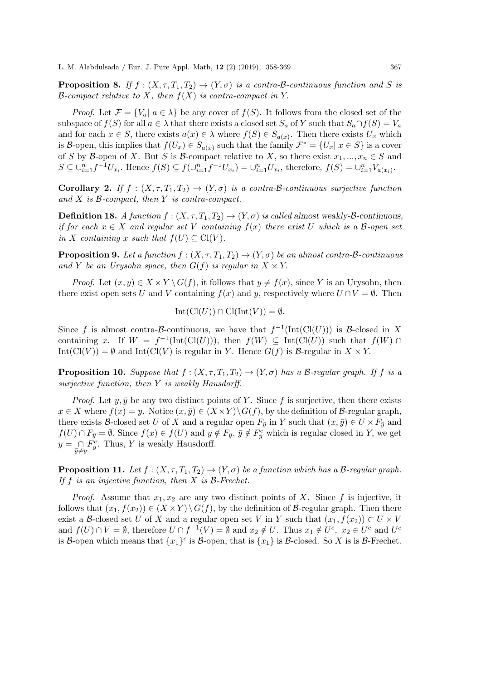**Proposition 8.** If  $f : (X, \tau, T_1, T_2) \to (Y, \sigma)$  is a contra-B-continuous function and S is  $\mathcal{B}$ -compact relative to X, then  $f(X)$  is contra-compact in Y.

*Proof.* Let  $\mathcal{F} = \{V_a | a \in \lambda\}$  be any cover of  $f(S)$ . It follows from the closed set of the subspace of  $f(S)$  for all  $a \in \lambda$  that there exists a closed set  $S_a$  of Y such that  $S_a \cap f(S) = V_a$ and for each  $x \in S$ , there exists  $a(x) \in \lambda$  where  $f(S) \in S_{a(x)}$ . Then there exists  $U_x$  which is B-open, this implies that  $f(U_x) \in S_{a(x)}$  such that the family  $\mathcal{F}^* = \{U_x | x \in S\}$  is a cover of S by B-open of X. But S is B-compact relative to X, so there exist  $x_1, ..., x_n \in S$  and  $S \subseteq \bigcup_{i=1}^{n} f^{-1}U_{x_i}$ . Hence  $f(S) \subseteq f(\bigcup_{i=1}^{n} f^{-1}U_{x_i}) = \bigcup_{i=1}^{n} U_{x_i}$ , therefore,  $f(S) = \bigcup_{i=1}^{n} V_{a(x_i)}$ .

**Corollary 2.** If  $f : (X, \tau, T_1, T_2) \to (Y, \sigma)$  is a contra-B-continuous surjective function and  $X$  is  $B$ -compact, then  $Y$  is contra-compact.

**Definition 18.** A function  $f : (X, \tau, T_1, T_2) \to (Y, \sigma)$  is called almost weakly- $\beta$ -continuous, if for each  $x \in X$  and regular set V containing  $f(x)$  there exist U which is a B-open set in X containing x such that  $f(U) \subseteq \mathrm{Cl}(V)$ .

**Proposition 9.** Let a function  $f : (X, \tau, T_1, T_2) \to (Y, \sigma)$  be an almost contra-B-continuous and Y be an Urysohn space, then  $G(f)$  is regular in  $X \times Y$ .

*Proof.* Let  $(x, y) \in X \times Y \backslash G(f)$ , it follows that  $y \neq f(x)$ , since Y is an Urysohn, then there exist open sets U and V containing  $f(x)$  and y, respectively where  $U \cap V = \emptyset$ . Then

$$
Int(Cl(U)) \cap Cl(int(V)) = \emptyset.
$$

Since f is almost contra-B-continuous, we have that  $f^{-1}(\text{Int}(\text{Cl}(U)))$  is B-closed in X containing x. If  $W = f^{-1}(\text{Int}(\text{Cl}(U)))$ , then  $f(W) \subseteq \text{Int}(\text{Cl}(U))$  such that  $f(W) \cap$  $Int(Cl(V)) = \emptyset$  and  $Int(Cl(V))$  is regular in Y. Hence  $G(f)$  is B-regular in  $X \times Y$ .

**Proposition 10.** Suppose that  $f : (X, \tau, T_1, T_2) \to (Y, \sigma)$  has a B-regular graph. If f is a surjective function, then Y is weakly Hausdorff.

*Proof.* Let y,  $\bar{y}$  be any two distinct points of Y. Since f is surjective, then there exists  $x \in X$  where  $f(x) = y$ . Notice  $(x, \bar{y}) \in (X \times Y) \backslash G(f)$ , by the definition of B-regular graph, there exists B-closed set U of X and a regular open  $F_{\bar{y}}$  in Y such that  $(x,\bar{y}) \in U \times F_{\bar{y}}$  and  $f(U) \cap F_{\bar{y}} = \emptyset$ . Since  $f(x) \in f(U)$  and  $y \notin F_{\bar{y}}$ ,  $\bar{y} \notin F_{\bar{y}}^c$  which is regular closed in Y, we get  $y = \bigcap_{\bar{y} \neq y} F_{\bar{y}}^c$ . Thus, Y is weakly Hausdorff.

**Proposition 11.** Let  $f : (X, \tau, T_1, T_2) \to (Y, \sigma)$  be a function which has a B-regular graph. If  $f$  is an injective function, then  $X$  is  $\beta$ -Frechet.

*Proof.* Assume that  $x_1, x_2$  are any two distinct points of X. Since f is injective, it follows that  $(x_1, f(x_2)) \in (X \times Y) \setminus G(f)$ , by the definition of B-regular graph. Then there exist a B-closed set U of X and a regular open set V in Y such that  $(x_1, f(x_2)) \subset U \times V$ and  $f(U) \cap V = \emptyset$ , therefore  $U \cap f^{-1}(V) = \emptyset$  and  $x_2 \notin U$ . Thus  $x_1 \notin U^c$ ,  $x_2 \in U^c$  and  $U^c$ is B-open which means that  $\{x_1\}^c$  is B-open, that is  $\{x_1\}$  is B-closed. So X is is B-Frechet.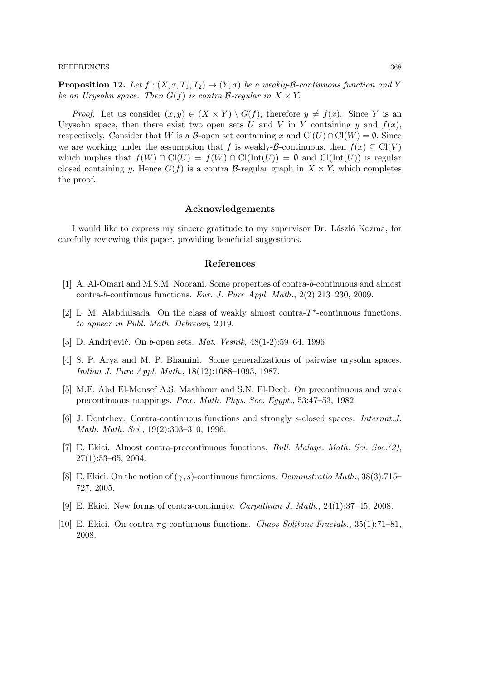#### REFERENCES 368

**Proposition 12.** Let  $f : (X, \tau, T_1, T_2) \to (Y, \sigma)$  be a weakly-B-continuous function and Y be an Urysohn space. Then  $G(f)$  is contra B-regular in  $X \times Y$ .

*Proof.* Let us consider  $(x, y) \in (X \times Y) \setminus G(f)$ , therefore  $y \neq f(x)$ . Since Y is an Urysohn space, then there exist two open sets U and V in Y containing y and  $f(x)$ , respectively. Consider that W is a B-open set containing x and  $Cl(U) \cap Cl(W) = \emptyset$ . Since we are working under the assumption that f is weakly- $\mathcal{B}$ -continuous, then  $f(x) \subset \mathrm{Cl}(V)$ which implies that  $f(W) \cap \text{Cl}(U) = f(W) \cap \text{Cl}(\text{Int}(U)) = \emptyset$  and  $\text{Cl}(\text{Int}(U))$  is regular closed containing y. Hence  $G(f)$  is a contra B-regular graph in  $X \times Y$ , which completes the proof.

## Acknowledgements

I would like to express my sincere gratitude to my supervisor Dr. László Kozma, for carefully reviewing this paper, providing beneficial suggestions.

## References

- [1] A. Al-Omari and M.S.M. Noorani. Some properties of contra-b-continuous and almost contra-b-continuous functions. Eur. J. Pure Appl. Math., 2(2):213–230, 2009.
- [2] L. M. Alabdulsada. On the class of weakly almost contra- $T^*$ -continuous functions. to appear in Publ. Math. Debrecen, 2019.
- [3] D. Andrijević. On b-open sets. Mat. Vesnik, 48(1-2):59-64, 1996.
- [4] S. P. Arya and M. P. Bhamini. Some generalizations of pairwise urysohn spaces. Indian J. Pure Appl. Math., 18(12):1088–1093, 1987.
- [5] M.E. Abd El-Monsef A.S. Mashhour and S.N. El-Deeb. On precontinuous and weak precontinuous mappings. Proc. Math. Phys. Soc. Egypt., 53:47–53, 1982.
- [6] J. Dontchev. Contra-continuous functions and strongly s-closed spaces. Internat.J. Math. Math. Sci., 19(2):303–310, 1996.
- [7] E. Ekici. Almost contra-precontinuous functions. Bull. Malays. Math. Sci. Soc.(2),  $27(1):53-65, 2004.$
- [8] E. Ekici. On the notion of  $(\gamma, s)$ -continuous functions. *Demonstratio Math.*, 38(3):715– 727, 2005.
- [9] E. Ekici. New forms of contra-continuity. Carpathian J. Math., 24(1):37–45, 2008.
- [10] E. Ekici. On contra  $\pi$ g-continuous functions. *Chaos Solitons Fractals.*, 35(1):71–81, 2008.